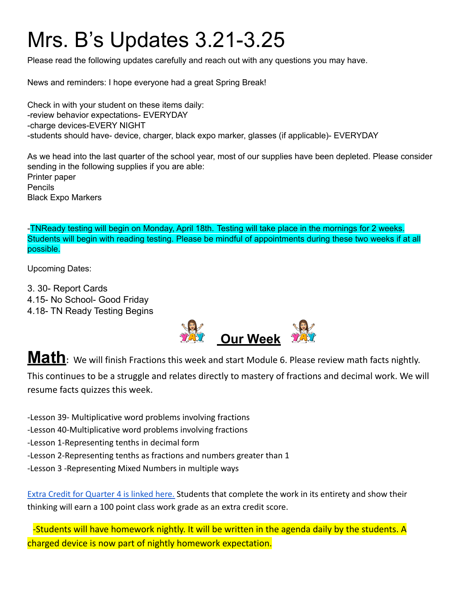## Mrs. B's Updates 3.21-3.25

Please read the following updates carefully and reach out with any questions you may have.

News and reminders: I hope everyone had a great Spring Break!

Check in with your student on these items daily: -review behavior expectations- EVERYDAY -charge devices-EVERY NIGHT -students should have- device, charger, black expo marker, glasses (if applicable)- EVERYDAY

As we head into the last quarter of the school year, most of our supplies have been depleted. Please consider sending in the following supplies if you are able: Printer paper Pencils Black Expo Markers

-TNReady testing will begin on Monday, April 18th. Testing will take place in the mornings for 2 weeks. Students will begin with reading testing. Please be mindful of appointments during these two weeks if at all possible.

Upcoming Dates:

3. 30- Report Cards 4.15- No School- Good Friday

4.18- TN Ready Testing Begins



**Math**: We will finish Fractions this week and start Module 6. Please review math facts nightly. This continues to be a struggle and relates directly to mastery of fractions and decimal work. We will resume facts quizzes this week.

-Lesson 39- Multiplicative word problems involving fractions

- -Lesson 40-Multiplicative word problems involving fractions
- -Lesson 1-Representing tenths in decimal form
- -Lesson 2-Representing tenths as fractions and numbers greater than 1
- -Lesson 3 -Representing Mixed Numbers in multiple ways

[Extra Credit for Quarter 4 is linked here.](https://drive.google.com/file/d/1e9PO7ML00qXtt9EtIoGwHNcwRfbzaGxA/view?usp=sharing) Students that complete the work in its entirety and show their thinking will earn a 100 point class work grade as an extra credit score.

-Students will have homework nightly. It will be written in the agenda daily by the students. A charged device is now part of nightly homework expectation.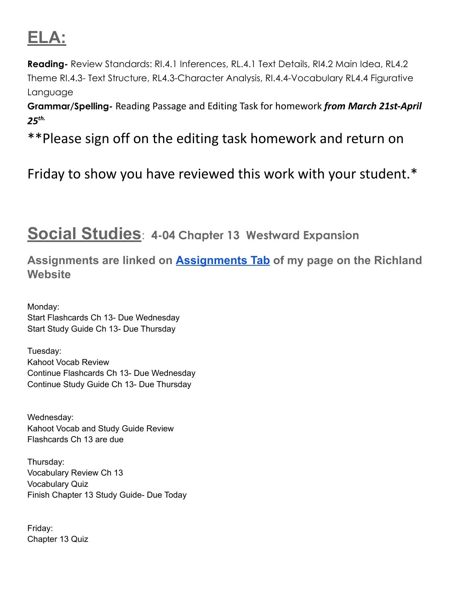## **ELA:**

**Reading-** Review Standards: RI.4.1 Inferences, RL.4.1 Text Details, RI4.2 Main Idea, RL4.2 Theme RI.4.3- Text Structure, RL4.3-Character Analysis, RI.4.4-Vocabulary RL4.4 Figurative Language

**Grammar/Spelling-** Reading Passage and Editing Task for homework *from March 21st-April 25 th.*

\*\*Please sign off on the editing task homework and return on

Friday to show you have reviewed this work with your student.\*

## **Social Studies**: **4-04 Chapter 13 Westward Expansion**

**Assignments are linked on [Assignments Tab](https://schools.scsk12.org/Page/14428) of my page on the Richland Website**

Monday: Start Flashcards Ch 13- Due Wednesday Start Study Guide Ch 13- Due Thursday

Tuesday: Kahoot Vocab Review Continue Flashcards Ch 13- Due Wednesday Continue Study Guide Ch 13- Due Thursday

Wednesday: Kahoot Vocab and Study Guide Review Flashcards Ch 13 are due

Thursday: Vocabulary Review Ch 13 Vocabulary Quiz Finish Chapter 13 Study Guide- Due Today

Friday: Chapter 13 Quiz